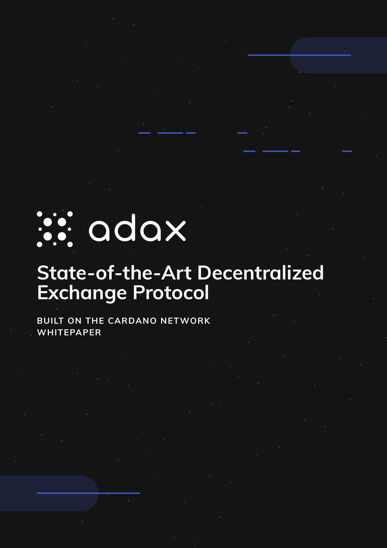## is: adax

### **State-of-the-Art Decentralized Exchange Protocol**

#### **BUILT ON THE CARDANO NETWORK WHITEPAPER**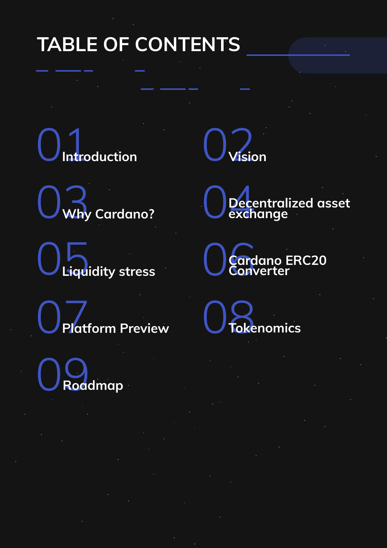### **TABLE OF CONTENTS**

**Introduction** 02**Vision**



**Liquidity stress** 06**Cardano ERC20** 



**Converter**



**Roadmap**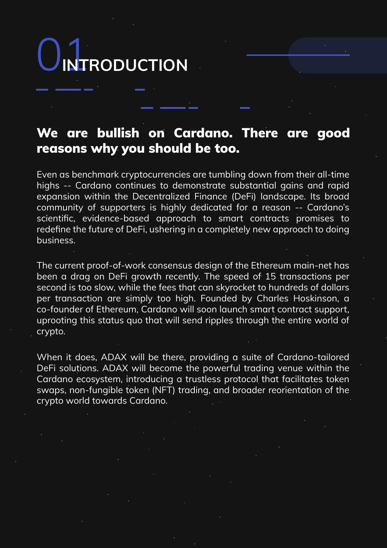### 01**INTRODUCTION**

#### We are bullish on Cardano. There are good reasons why you should be too.

Even as benchmark cryptocurrencies are tumbling down from their all-time highs -- Cardano continues to demonstrate substantial gains and rapid expansion within the Decentralized Finance (DeFi) landscape. Its broad community of supporters is highly dedicated for a reason -- Cardano's scientific, evidence-based approach to smart contracts promises to redefine the future of DeFi, ushering in a completely new approach to doing business.

The current proof-of-work consensus design of the Ethereum main-net has been a drag on DeFi growth recently. The speed of 15 transactions per second is too slow, while the fees that can skyrocket to hundreds of dollars per transaction are simply too high. Founded by Charles Hoskinson, a co-founder of Ethereum, Cardano will soon launch smart contract support, uprooting this status quo that will send ripples through the entire world of crypto.

When it does, ADAX will be there, providing a suite of Cardano-tailored DeFi solutions. ADAX will become the powerful trading venue within the Cardano ecosystem, introducing a trustless protocol that facilitates token swaps, non-fungible token (NFT) trading, and broader reorientation of the crypto world towards Cardano.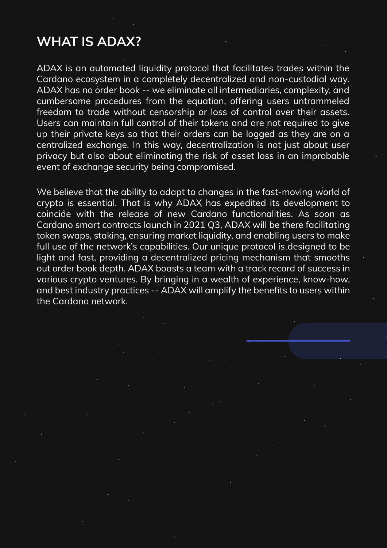#### **WHAT IS ADAX?**

ADAX is an automated liquidity protocol that facilitates trades within the Cardano ecosystem in a completely decentralized and non-custodial way. ADAX has no order book -- we eliminate all intermediaries, complexity, and cumbersome procedures from the equation, offering users untrammeled freedom to trade without censorship or loss of control over their assets. Users can maintain full control of their tokens and are not required to give up their private keys so that their orders can be logged as they are on a centralized exchange. In this way, decentralization is not just about user privacy but also about eliminating the risk of asset loss in an improbable event of exchange security being compromised.

We believe that the ability to adapt to changes in the fast-moving world of crypto is essential. That is why ADAX has expedited its development to coincide with the release of new Cardano functionalities. As soon as Cardano smart contracts launch in 2021 Q3, ADAX will be there facilitating token swaps, staking, ensuring market liquidity, and enabling users to make full use of the network's capabilities. Our unique protocol is designed to be light and fast, providing a decentralized pricing mechanism that smooths out order book depth. ADAX boasts a team with a track record of success in various crypto ventures. By bringing in a wealth of experience, know-how, and best industry practices -- ADAX will amplify the benefits to users within the Cardano network.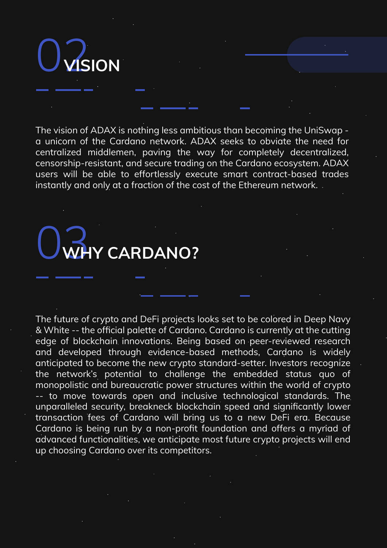02**VISION**

The vision of ADAX is nothing less ambitious than becoming the UniSwap a unicorn of the Cardano network. ADAX seeks to obviate the need for centralized middlemen, paving the way for completely decentralized, censorship-resistant, and secure trading on the Cardano ecosystem. ADAX users will be able to effortlessly execute smart contract-based trades instantly and only at a fraction of the cost of the Ethereum network.

### 03**WHY CARDANO?**

The future of crypto and DeFi projects looks set to be colored in Deep Navy & White -- the official palette of Cardano. Cardano is currently at the cutting edge of blockchain innovations. Being based on peer-reviewed research and developed through evidence-based methods, Cardano is widely anticipated to become the new crypto standard-setter. Investors recognize the network's potential to challenge the embedded status quo of monopolistic and bureaucratic power structures within the world of crypto -- to move towards open and inclusive technological standards. The unparalleled security, breakneck blockchain speed and significantly lower transaction fees of Cardano will bring us to a new DeFi era. Because Cardano is being run by a non-profit foundation and offers a myriad of advanced functionalities, we anticipate most future crypto projects will end up choosing Cardano over its competitors.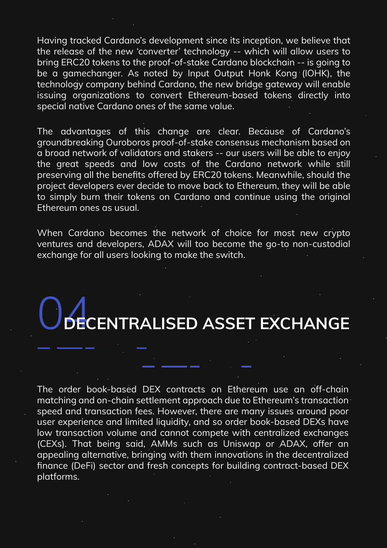Having tracked Cardano's development since its inception, we believe that the release of the new 'converter' technology -- which will allow users to bring ERC20 tokens to the proof-of-stake Cardano blockchain -- is going to be a gamechanger. As noted by Input Output Honk Kong (IOHK), the technology company behind Cardano, the new bridge gateway will enable issuing organizations to convert Ethereum-based tokens directly into special native Cardano ones of the same value.

The advantages of this change are clear. Because of Cardano's groundbreaking Ouroboros proof-of-stake consensus mechanism based on a broad network of validators and stakers -- our users will be able to enjoy the great speeds and low costs of the Cardano network while still preserving all the benefits offered by ERC20 tokens. Meanwhile, should the project developers ever decide to move back to Ethereum, they will be able to simply burn their tokens on Cardano and continue using the original Ethereum ones as usual.

When Cardano becomes the network of choice for most new crypto ventures and developers, ADAX will too become the go-to non-custodial exchange for all users looking to make the switch.

### 04**DECENTRALISED ASSET EXCHANGE**

The order book-based DEX contracts on Ethereum use an off-chain matching and on-chain settlement approach due to Ethereum's transaction speed and transaction fees. However, there are many issues around poor user experience and limited liquidity, and so order book-based DEXs have low transaction volume and cannot compete with centralized exchanges (CEXs). That being said, AMMs such as Uniswap or ADAX, offer an appealing alternative, bringing with them innovations in the decentralized finance (DeFi) sector and fresh concepts for building contract-based DEX platforms.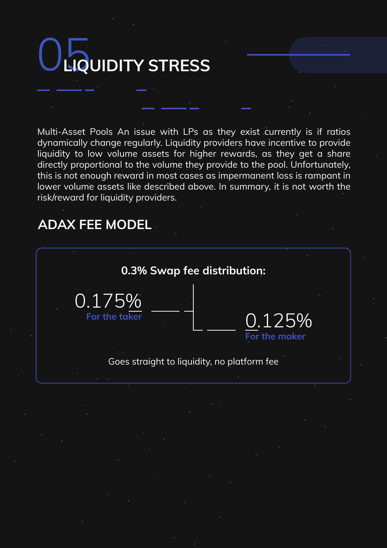# 05**LIQUIDITY STRESS**

Multi-Asset Pools An issue with LPs as they exist currently is if ratios dynamically change regularly. Liquidity providers have incentive to provide liquidity to low volume assets for higher rewards, as they get a share directly proportional to the volume they provide to the pool. Unfortunately, this is not enough reward in most cases as impermanent loss is rampant in lower volume assets like described above. In summary, it is not worth the risk/reward for liquidity providers.

#### **ADAX FEE MODEL**

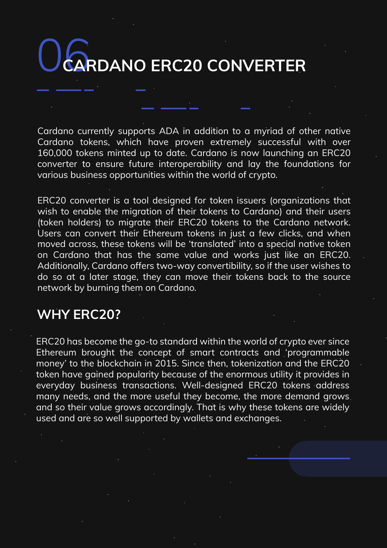## 06**CARDANO ERC20 CONVERTER**

Cardano currently supports ADA in addition to a myriad of other native Cardano tokens, which have proven extremely successful with over 160,000 tokens minted up to date. Cardano is now launching an ERC20 converter to ensure future interoperability and lay the foundations for various business opportunities within the world of crypto.

ERC20 converter is a tool designed for token issuers (organizations that wish to enable the migration of their tokens to Cardano) and their users (token holders) to migrate their ERC20 tokens to the Cardano network. Users can convert their Ethereum tokens in just a few clicks, and when moved across, these tokens will be 'translated' into a special native token on Cardano that has the same value and works just like an ERC20. Additionally, Cardano offers two-way convertibility, so if the user wishes to do so at a later stage, they can move their tokens back to the source network by burning them on Cardano.

#### **WHY ERC20?**

ERC20 has become the go-to standard within the world of crypto ever since Ethereum brought the concept of smart contracts and 'programmable money' to the blockchain in 2015. Since then, tokenization and the ERC20 token have gained popularity because of the enormous utility it provides in everyday business transactions. Well-designed ERC20 tokens address many needs, and the more useful they become, the more demand grows and so their value grows accordingly. That is why these tokens are widely used and are so well supported by wallets and exchanges.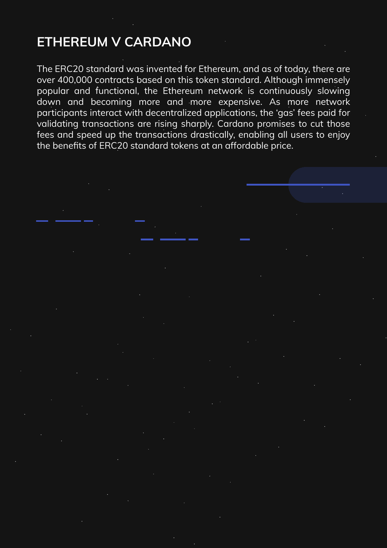#### **ETHEREUM V CARDANO**

The ERC20 standard was invented for Ethereum, and as of today, there are over 400,000 contracts based on this token standard. Although immensely popular and functional, the Ethereum network is continuously slowing down and becoming more and more expensive. As more network participants interact with decentralized applications, the 'gas' fees paid for validating transactions are rising sharply. Cardano promises to cut those fees and speed up the transactions drastically, enabling all users to enjoy the benefits of ERC20 standard tokens at an affordable price.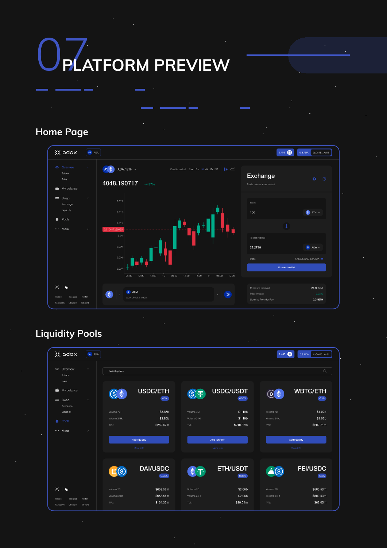# 07**PLATFORM PREVIEW**

#### **Home Page**



#### **Liquidity Pools**

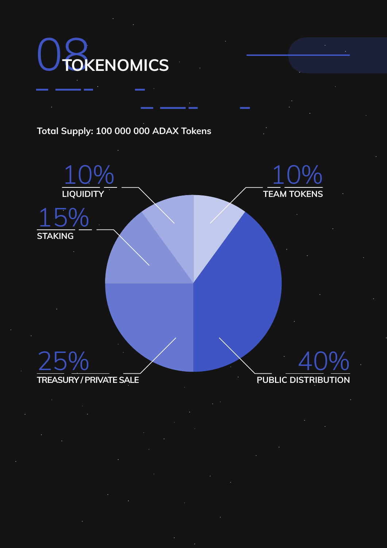

#### **Total Supply: 100 000 000 ADAX Tokens**



#### **TREASURY / PRIVATE SALE**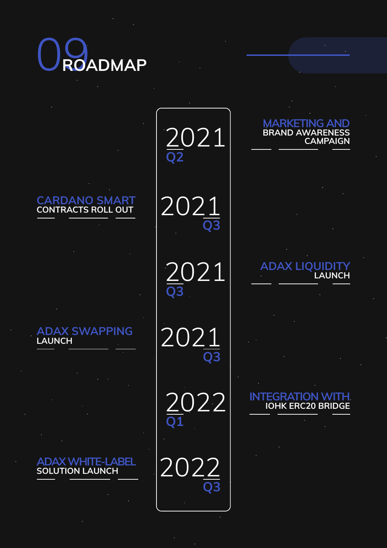

**CARDANO SMART CONTRACTS ROLL OUT**

**ADAX SWAPPING LAUNCH**

**ADAX WHITE-LABEL SOLUTION LAUNCH**

2021 **Q2**



2021 **Q3**

2021 **Q3**

2022 **Q1**

20 **Q3**

#### **MARKETING AND BRAND AWARENESS CAMPAIGN**

**ADAX LIQUIDITY LAUNCH**

#### **INTEGRATION WITH IOHK ERC20 BRIDGE**